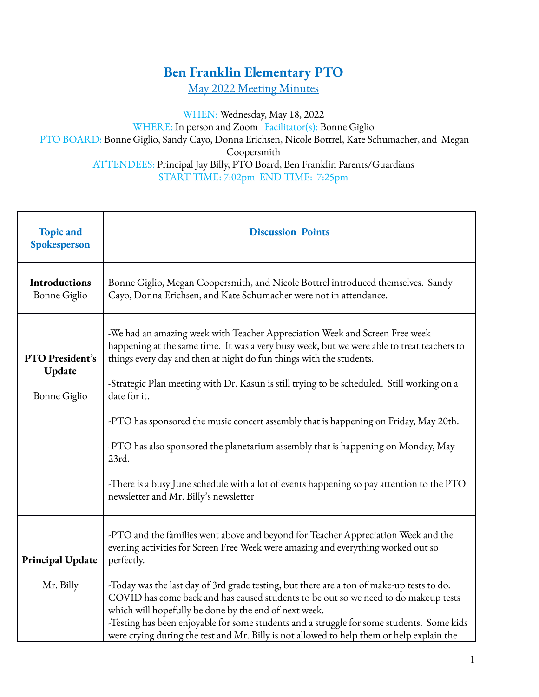## **Ben Franklin Elementary PTO**

May 2022 Meeting Minutes

WHEN: Wednesday, May 18, 2022

WHERE: In person and Zoom Facilitator(s): Bonne Giglio PTO BOARD: Bonne Giglio, Sandy Cayo, Donna Erichsen, Nicole Bottrel, Kate Schumacher, and Megan Coopersmith ATTENDEES: Principal Jay Billy, PTO Board, Ben Franklin Parents/Guardians START TIME: 7:02pm END TIME: 7:25pm

| <b>Topic and</b><br>Spokesperson          | <b>Discussion Points</b>                                                                                                                                                                                                                                                                                                                                                                                                                                                                                                                                                                                                                                                                   |
|-------------------------------------------|--------------------------------------------------------------------------------------------------------------------------------------------------------------------------------------------------------------------------------------------------------------------------------------------------------------------------------------------------------------------------------------------------------------------------------------------------------------------------------------------------------------------------------------------------------------------------------------------------------------------------------------------------------------------------------------------|
| Introductions<br><b>Bonne</b> Giglio      | Bonne Giglio, Megan Coopersmith, and Nicole Bottrel introduced themselves. Sandy<br>Cayo, Donna Erichsen, and Kate Schumacher were not in attendance.                                                                                                                                                                                                                                                                                                                                                                                                                                                                                                                                      |
| PTO President's<br>Update<br>Bonne Giglio | -We had an amazing week with Teacher Appreciation Week and Screen Free week<br>happening at the same time. It was a very busy week, but we were able to treat teachers to<br>things every day and then at night do fun things with the students.<br>-Strategic Plan meeting with Dr. Kasun is still trying to be scheduled. Still working on a<br>date for it.<br>-PTO has sponsored the music concert assembly that is happening on Friday, May 20th.<br>-PTO has also sponsored the planetarium assembly that is happening on Monday, May<br>23rd.<br>-There is a busy June schedule with a lot of events happening so pay attention to the PTO<br>newsletter and Mr. Billy's newsletter |
| <b>Principal Update</b><br>Mr. Billy      | -PTO and the families went above and beyond for Teacher Appreciation Week and the<br>evening activities for Screen Free Week were amazing and everything worked out so<br>perfectly.<br>-Today was the last day of 3rd grade testing, but there are a ton of make-up tests to do.<br>COVID has come back and has caused students to be out so we need to do makeup tests<br>which will hopefully be done by the end of next week.<br>-Testing has been enjoyable for some students and a struggle for some students. Some kids<br>were crying during the test and Mr. Billy is not allowed to help them or help explain the                                                                |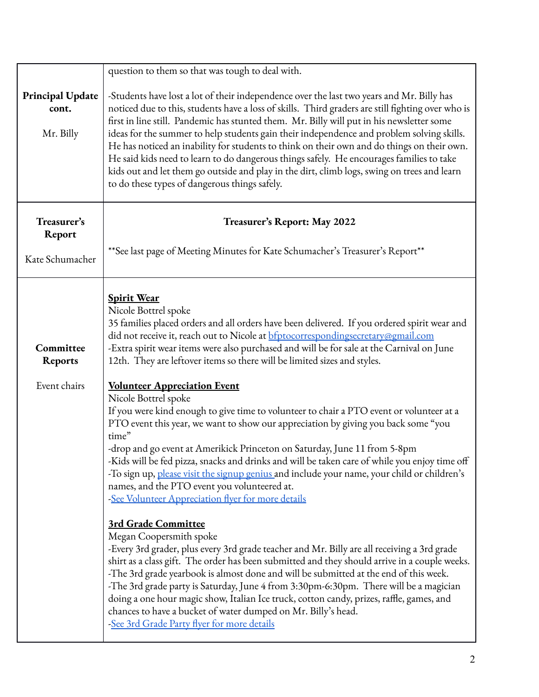|                                               | question to them so that was tough to deal with.                                                                                                                                                                                                                                                                                                                                                                                                                                                                                                                                                                                                                                                                                                                                                                                                                                                                                                                                                                                                                                                                                                                                                                                                                                                                                                                                                                                                                                                                                                                                                                                                                                                                   |  |  |  |  |
|-----------------------------------------------|--------------------------------------------------------------------------------------------------------------------------------------------------------------------------------------------------------------------------------------------------------------------------------------------------------------------------------------------------------------------------------------------------------------------------------------------------------------------------------------------------------------------------------------------------------------------------------------------------------------------------------------------------------------------------------------------------------------------------------------------------------------------------------------------------------------------------------------------------------------------------------------------------------------------------------------------------------------------------------------------------------------------------------------------------------------------------------------------------------------------------------------------------------------------------------------------------------------------------------------------------------------------------------------------------------------------------------------------------------------------------------------------------------------------------------------------------------------------------------------------------------------------------------------------------------------------------------------------------------------------------------------------------------------------------------------------------------------------|--|--|--|--|
| <b>Principal Update</b><br>cont.<br>Mr. Billy | -Students have lost a lot of their independence over the last two years and Mr. Billy has<br>noticed due to this, students have a loss of skills. Third graders are still fighting over who is<br>first in line still. Pandemic has stunted them. Mr. Billy will put in his newsletter some<br>ideas for the summer to help students gain their independence and problem solving skills.<br>He has noticed an inability for students to think on their own and do things on their own.<br>He said kids need to learn to do dangerous things safely. He encourages families to take<br>kids out and let them go outside and play in the dirt, climb logs, swing on trees and learn<br>to do these types of dangerous things safely.                                                                                                                                                                                                                                                                                                                                                                                                                                                                                                                                                                                                                                                                                                                                                                                                                                                                                                                                                                                 |  |  |  |  |
| Treasurer's<br>Report<br>Kate Schumacher      | Treasurer's Report: May 2022<br>** See last page of Meeting Minutes for Kate Schumacher's Treasurer's Report**                                                                                                                                                                                                                                                                                                                                                                                                                                                                                                                                                                                                                                                                                                                                                                                                                                                                                                                                                                                                                                                                                                                                                                                                                                                                                                                                                                                                                                                                                                                                                                                                     |  |  |  |  |
| Committee<br><b>Reports</b><br>Event chairs   | <b>Spirit Wear</b><br>Nicole Bottrel spoke<br>35 families placed orders and all orders have been delivered. If you ordered spirit wear and<br>did not receive it, reach out to Nicole at <b>bfptocorrespondingsecretary@gmail.com</b><br>-Extra spirit wear items were also purchased and will be for sale at the Carnival on June<br>12th. They are leftover items so there will be limited sizes and styles.<br><b>Volunteer Appreciation Event</b><br>Nicole Bottrel spoke<br>If you were kind enough to give time to volunteer to chair a PTO event or volunteer at a<br>PTO event this year, we want to show our appreciation by giving you back some "you<br>time"<br>-drop and go event at Amerikick Princeton on Saturday, June 11 from 5-8pm<br>-Kids will be fed pizza, snacks and drinks and will be taken care of while you enjoy time off<br>-To sign up, please visit the signup genius and include your name, your child or children's<br>names, and the PTO event you volunteered at.<br>-See Volunteer Appreciation flyer for more details<br><b>3rd Grade Committee</b><br>Megan Coopersmith spoke<br>-Every 3rd grader, plus every 3rd grade teacher and Mr. Billy are all receiving a 3rd grade<br>shirt as a class gift. The order has been submitted and they should arrive in a couple weeks.<br>-The 3rd grade yearbook is almost done and will be submitted at the end of this week.<br>-The 3rd grade party is Saturday, June 4 from 3:30pm-6:30pm. There will be a magician<br>doing a one hour magic show, Italian Ice truck, cotton candy, prizes, raffle, games, and<br>chances to have a bucket of water dumped on Mr. Billy's head.<br>-See 3rd Grade Party flyer for more details |  |  |  |  |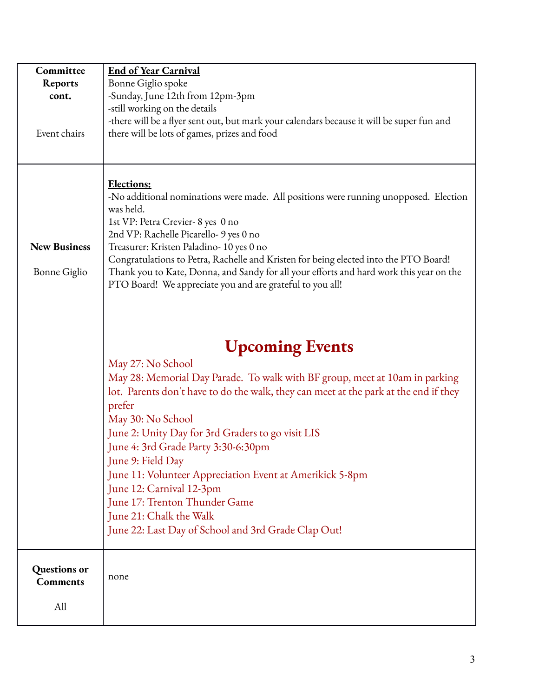| Committee           | <b>End of Year Carnival</b>                                                                                                      |  |  |  |  |  |  |  |  |
|---------------------|----------------------------------------------------------------------------------------------------------------------------------|--|--|--|--|--|--|--|--|
| <b>Reports</b>      | Bonne Giglio spoke                                                                                                               |  |  |  |  |  |  |  |  |
| cont.               | -Sunday, June 12th from 12pm-3pm                                                                                                 |  |  |  |  |  |  |  |  |
|                     | -still working on the details                                                                                                    |  |  |  |  |  |  |  |  |
|                     | -there will be a flyer sent out, but mark your calendars because it will be super fun and                                        |  |  |  |  |  |  |  |  |
| Event chairs        | there will be lots of games, prizes and food                                                                                     |  |  |  |  |  |  |  |  |
|                     |                                                                                                                                  |  |  |  |  |  |  |  |  |
|                     |                                                                                                                                  |  |  |  |  |  |  |  |  |
|                     |                                                                                                                                  |  |  |  |  |  |  |  |  |
|                     | <b>Elections:</b>                                                                                                                |  |  |  |  |  |  |  |  |
|                     | -No additional nominations were made. All positions were running unopposed. Election                                             |  |  |  |  |  |  |  |  |
|                     | was held.                                                                                                                        |  |  |  |  |  |  |  |  |
|                     | 1st VP: Petra Crevier-8 yes 0 no                                                                                                 |  |  |  |  |  |  |  |  |
| <b>New Business</b> | 2nd VP: Rachelle Picarello- 9 yes 0 no                                                                                           |  |  |  |  |  |  |  |  |
|                     | Treasurer: Kristen Paladino- 10 yes 0 no<br>Congratulations to Petra, Rachelle and Kristen for being elected into the PTO Board! |  |  |  |  |  |  |  |  |
| Bonne Giglio        | Thank you to Kate, Donna, and Sandy for all your efforts and hard work this year on the                                          |  |  |  |  |  |  |  |  |
|                     | PTO Board! We appreciate you and are grateful to you all!                                                                        |  |  |  |  |  |  |  |  |
|                     |                                                                                                                                  |  |  |  |  |  |  |  |  |
|                     |                                                                                                                                  |  |  |  |  |  |  |  |  |
|                     |                                                                                                                                  |  |  |  |  |  |  |  |  |
|                     |                                                                                                                                  |  |  |  |  |  |  |  |  |
|                     | <b>Upcoming Events</b>                                                                                                           |  |  |  |  |  |  |  |  |
|                     | May 27: No School                                                                                                                |  |  |  |  |  |  |  |  |
|                     | May 28: Memorial Day Parade. To walk with BF group, meet at 10am in parking                                                      |  |  |  |  |  |  |  |  |
|                     | lot. Parents don't have to do the walk, they can meet at the park at the end if they                                             |  |  |  |  |  |  |  |  |
|                     | prefer                                                                                                                           |  |  |  |  |  |  |  |  |
|                     | May 30: No School                                                                                                                |  |  |  |  |  |  |  |  |
|                     | June 2: Unity Day for 3rd Graders to go visit LIS                                                                                |  |  |  |  |  |  |  |  |
|                     | June 4: 3rd Grade Party 3:30-6:30pm                                                                                              |  |  |  |  |  |  |  |  |
|                     | June 9: Field Day                                                                                                                |  |  |  |  |  |  |  |  |
|                     | June 11: Volunteer Appreciation Event at Amerikick 5-8pm                                                                         |  |  |  |  |  |  |  |  |
|                     | June 12: Carnival 12-3pm                                                                                                         |  |  |  |  |  |  |  |  |
|                     | June 17: Trenton Thunder Game                                                                                                    |  |  |  |  |  |  |  |  |
|                     | June 21: Chalk the Walk                                                                                                          |  |  |  |  |  |  |  |  |
|                     | June 22: Last Day of School and 3rd Grade Clap Out!                                                                              |  |  |  |  |  |  |  |  |
|                     |                                                                                                                                  |  |  |  |  |  |  |  |  |
|                     |                                                                                                                                  |  |  |  |  |  |  |  |  |
| Questions or        |                                                                                                                                  |  |  |  |  |  |  |  |  |
| <b>Comments</b>     | none                                                                                                                             |  |  |  |  |  |  |  |  |
|                     |                                                                                                                                  |  |  |  |  |  |  |  |  |
| All                 |                                                                                                                                  |  |  |  |  |  |  |  |  |
|                     |                                                                                                                                  |  |  |  |  |  |  |  |  |